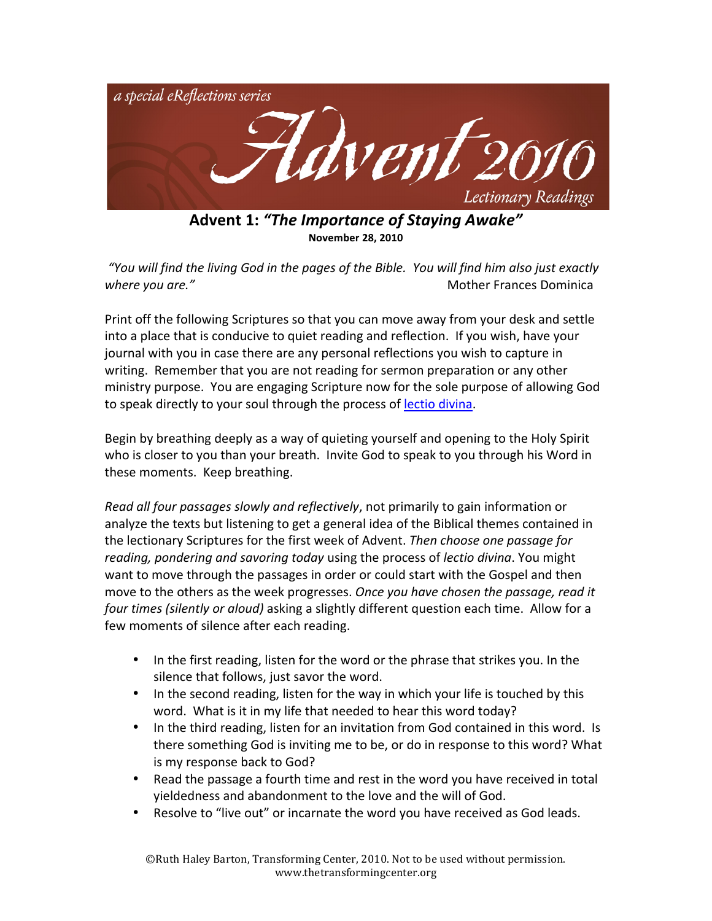

Advent 1: "The Importance of Staying Awake" **November 28, 2010** 

"You will find the living God in the pages of the Bible. You will find him also just exactly **Example 20 You are." It's area where you are." It's area where you are." It's area where you are." It's and the state of the state of the state of the state of the state of the state of the state of the state of the state** 

Print off the following Scriptures so that you can move away from your desk and settle into a place that is conducive to quiet reading and reflection. If you wish, have your journal with you in case there are any personal reflections you wish to capture in writing. Remember that you are not reading for sermon preparation or any other ministry purpose. You are engaging Scripture now for the sole purpose of allowing God to speak directly to your soul through the process of lectio divina.

Begin by breathing deeply as a way of quieting yourself and opening to the Holy Spirit who is closer to you than your breath. Invite God to speak to you through his Word in these moments. Keep breathing.

*Read all four passages slowly and reflectively, not primarily to gain information or* analyze the texts but listening to get a general idea of the Biblical themes contained in the lectionary Scriptures for the first week of Advent. Then choose one passage for *reading, pondering and savoring today* using the process of *lectio divina*. You might want to move through the passages in order or could start with the Gospel and then move to the others as the week progresses. Once you have chosen the passage, read it *four times (silently or aloud)* asking a slightly different question each time. Allow for a few moments of silence after each reading.

- In the first reading, listen for the word or the phrase that strikes you. In the silence that follows, just savor the word.
- In the second reading, listen for the way in which your life is touched by this word. What is it in my life that needed to hear this word today?
- In the third reading, listen for an invitation from God contained in this word. Is there something God is inviting me to be, or do in response to this word? What is my response back to God?
- Read the passage a fourth time and rest in the word you have received in total yieldedness and abandonment to the love and the will of God.
- Resolve to "live out" or incarnate the word you have received as God leads.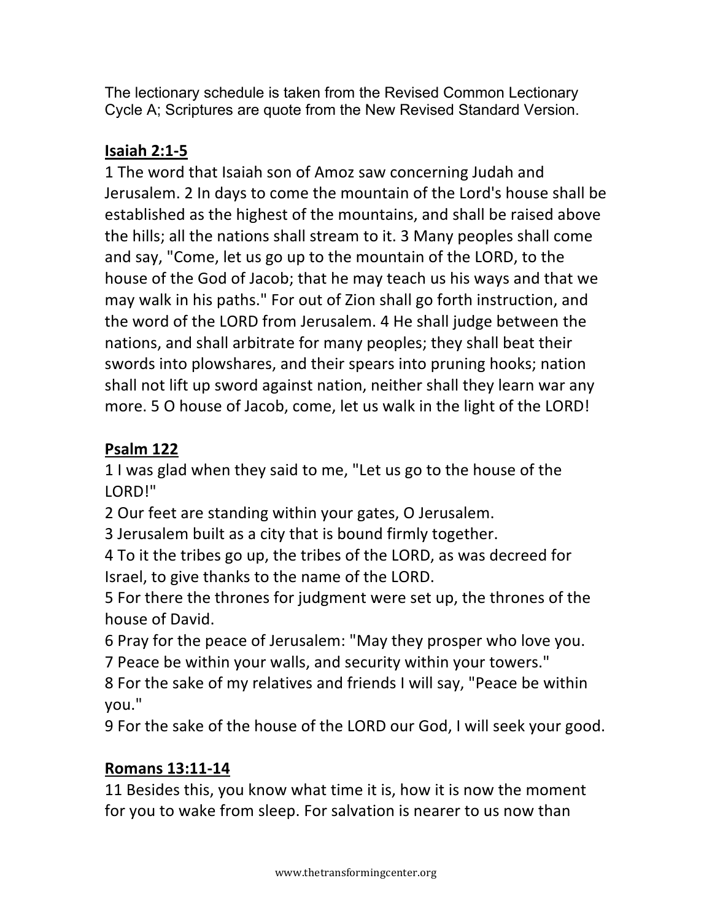The lectionary schedule is taken from the Revised Common Lectionary Cycle A; Scriptures are quote from the New Revised Standard Version.

## **Isaiah 2:1-5**

1 The word that Isaiah son of Amoz saw concerning Judah and Jerusalem. 2 In days to come the mountain of the Lord's house shall be established as the highest of the mountains, and shall be raised above the hills; all the nations shall stream to it. 3 Many peoples shall come and say, "Come, let us go up to the mountain of the LORD, to the house of the God of Jacob; that he may teach us his ways and that we may walk in his paths." For out of Zion shall go forth instruction, and the word of the LORD from Jerusalem. 4 He shall judge between the nations, and shall arbitrate for many peoples; they shall beat their swords into plowshares, and their spears into pruning hooks; nation shall not lift up sword against nation, neither shall they learn war any more. 5 O house of Jacob, come, let us walk in the light of the LORD!

## **Psalm!122**

1 I was glad when they said to me, "Let us go to the house of the LORD!"

2 Our feet are standing within your gates, O Jerusalem.

3 Jerusalem built as a city that is bound firmly together.

4 To it the tribes go up, the tribes of the LORD, as was decreed for Israel, to give thanks to the name of the LORD.

5 For there the thrones for judgment were set up, the thrones of the house of David.

6 Pray for the peace of Jerusalem: "May they prosper who love you.

7 Peace be within your walls, and security within your towers."

8 For the sake of my relatives and friends I will say, "Peace be within' you."

9 For the sake of the house of the LORD our God, I will seek your good.

## **Romans 13:11-14**

11 Besides this, you know what time it is, how it is now the moment for you to wake from sleep. For salvation is nearer to us now than